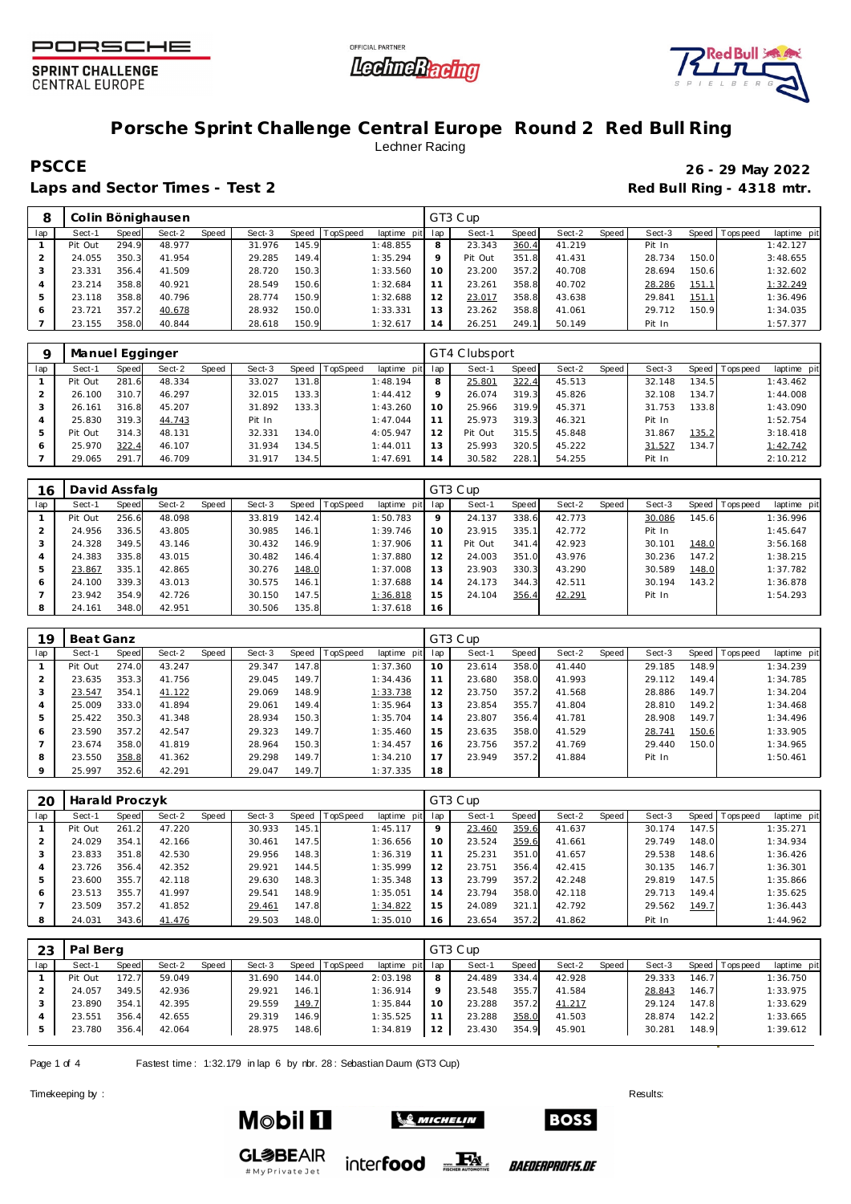





# **Porsche Sprint Challenge Central Europe Round 2 Red Bull Ring** Lechner Racing

**PSCCE 26 - 29 May 2022**

Laps and Sector Times - Test 2 **Red Bull Ring - 4318 mtr.** 

| 8   |         |       | Colin Bönighausen |              |        |       |          |                |     | GT3 Cup |       |        |       |        |       |                   |             |
|-----|---------|-------|-------------------|--------------|--------|-------|----------|----------------|-----|---------|-------|--------|-------|--------|-------|-------------------|-------------|
| lap | Sect-1  | Speed | Sect-2            | <b>Speed</b> | Sect-3 | Speed | TopSpeed | laptime<br>pit | lap | Sect-1  | Speed | Sect-2 | Speed | Sect-3 |       | Speed   Tops peed | laptime pit |
|     | Pit Out | 294.9 | 48.977            |              | 31.976 | 145.9 |          | 1:48.855       | 8   | 23.343  | 360.4 | 41.219 |       | Pit In |       |                   | 1:42.127    |
|     | 24.055  | 350.3 | 41.954            |              | 29.285 | 149.4 |          | 1:35.294       | Q   | Pit Out | 351.8 | 41.431 |       | 28.734 | 150.0 |                   | 3:48.655    |
|     | 23.331  | 356.4 | 41.509            |              | 28.720 | 150.3 |          | 1:33.560       | 10  | 23.200  | 357.2 | 40.708 |       | 28.694 | 150.6 |                   | 1:32.602    |
|     | 23.214  | 358.8 | 40.921            |              | 28.549 | 150.6 |          | 1:32.684       |     | 23.261  | 358.8 | 40.702 |       | 28.286 | 151.1 |                   | 1:32.249    |
|     | 23.118  | 358.8 | 40.796            |              | 28.774 | 150.9 |          | 1:32.688       | 12  | 23.017  | 358.8 | 43.638 |       | 29.841 | 151.1 |                   | 1:36.496    |
|     | 23.721  | 357.2 | 40.678            |              | 28.932 | 150.0 |          | 1:33.331       | 13  | 23.262  | 358.8 | 41.061 |       | 29.712 | 150.9 |                   | 1:34.035    |
|     | 23.155  | 358.0 | 40.844            |              | 28.618 | 150.9 |          | 1:32.617       | 14  | 26.251  | 249.1 | 50.149 |       | Pit In |       |                   | 1:57.377    |

|     | Manuel Egginger |            |        |       |        |       |          |                |     | GT4 Clubsport |       |        |         |        |       |                |             |
|-----|-----------------|------------|--------|-------|--------|-------|----------|----------------|-----|---------------|-------|--------|---------|--------|-------|----------------|-------------|
| lap | Sect-1          | Speed      | Sect-2 | Speed | Sect-3 | Speed | TopSpeed | laptime<br>pit | lap | Sect-1        | Speed | Sect-2 | Speed ! | Sect-3 |       | Speed Topspeed | laptime pit |
|     | Pit Out         | 281<br>-61 | 48.334 |       | 33.027 | 131.8 |          | 1:48.194       | 8   | 25.801        | 322.4 | 45.513 |         | 32.148 | 134.5 |                | 1:43.462    |
|     | 26.100          | 310.7      | 46.297 |       | 32.015 | 133.3 |          | 1:44.412       | Q   | 26.074        | 319.3 | 45.826 |         | 32.108 | 134.7 |                | 1:44.008    |
|     | 26.161          | 316.8      | 45.207 |       | 31.892 | 133.3 |          | 1:43.260       | 10  | 25.966        | 319.9 | 45.371 |         | 31.753 | 133.8 |                | 1:43.090    |
|     | 25.830          | 319.3      | 44.743 |       | Pit In |       |          | 1:47.044       | 11  | 25.973        | 319.3 | 46.321 |         | Pit In |       |                | 1:52.754    |
|     | Pit Out         | 314.3      | 48.131 |       | 32.331 | 134.0 |          | 4:05.947       | 12  | Pit Out       | 315.5 | 45.848 |         | 31.867 | 135.2 |                | 3:18.418    |
| 6   | 25.970          | 322.4      | 46.107 |       | 31.934 | 134.5 |          | 1:44.011       | 13  | 25.993        | 320.5 | 45.222 |         | 31.527 | 134.7 |                | 1:42.742    |
|     | 29.065          | 291        | 46.709 |       | 31.917 | 134.5 |          | 1:47.691       | 14  | 30.582        | 228.1 | 54.255 |         | Pit In |       |                | 2:10.212    |

| 16  | David Assfalg |       |        |       |        |       |                 |             |         | GT3 Cup |       |        |       |        |              |           |             |
|-----|---------------|-------|--------|-------|--------|-------|-----------------|-------------|---------|---------|-------|--------|-------|--------|--------------|-----------|-------------|
| lap | Sect-1        | Speed | Sect-2 | Speed | Sect-3 | Speed | <b>TopSpeed</b> | laptime pit | lap     | Sect-1  | Speed | Sect-2 | Speed | Sect-3 | <b>Speed</b> | Tops peed | laptime pit |
|     | Pit Out       | 256.6 | 48.098 |       | 33.819 | 142.4 |                 | 1:50.783    | $\circ$ | 24.137  | 338.6 | 42.773 |       | 30.086 | 145.6        |           | 1:36.996    |
|     | 24.956        | 336.5 | 43.805 |       | 30.985 | 146.1 |                 | 1:39.746    | 10      | 23.915  | 335.1 | 42.772 |       | Pit In |              |           | 1:45.647    |
|     | 24.328        | 349.5 | 43.146 |       | 30.432 | 146.9 |                 | 1:37.906    |         | Pit Out | 341.4 | 42.923 |       | 30.101 | 148.0        |           | 3:56.168    |
|     | 24.383        | 335.8 | 43.015 |       | 30.482 | 146.4 |                 | 1:37.880    | 12      | 24.003  | 351.0 | 43.976 |       | 30.236 | 147.2        |           | 1:38.215    |
|     | 23.867        | 335.1 | 42.865 |       | 30.276 | 148.0 |                 | 1:37.008    | 13      | 23.903  | 330.3 | 43.290 |       | 30.589 | 148.0        |           | 1:37.782    |
| 6   | 24.100        | 339.3 | 43.013 |       | 30.575 | 146.1 |                 | 1:37.688    | 14      | 24.173  | 344.3 | 42.511 |       | 30.194 | 143.2        |           | 1:36.878    |
|     | 23.942        | 354.9 | 42.726 |       | 30.150 | 147.5 |                 | 1:36.818    | 15      | 24.104  | 356.4 | 42.291 |       | Pit In |              |           | 1:54.293    |
|     | 24.161        | 348.0 | 42.951 |       | 30.506 | 135.8 |                 | 1:37.618    | 16      |         |       |        |       |        |              |           |             |

| 19             | Beat Ganz |       |        |       |        |         |                 |                |     | GT3 Cup |       |        |       |        |       |          |             |
|----------------|-----------|-------|--------|-------|--------|---------|-----------------|----------------|-----|---------|-------|--------|-------|--------|-------|----------|-------------|
| lap            | Sect-1    | Speed | Sect-2 | Speed | Sect-3 | Speed ! | <b>TopSpeed</b> | laptime<br>pit | lap | Sect-1  | Speed | Sect-2 | Speed | Sect-3 | Speed | Topspeed | laptime pit |
|                | Pit Out   | 274.0 | 43.247 |       | 29.347 | 147.8   |                 | 1:37.360       | 10  | 23.614  | 358.0 | 41.440 |       | 29.185 | 148.9 |          | 1:34.239    |
| $\overline{2}$ | 23.635    | 353.3 | 41.756 |       | 29.045 | 149.7   |                 | 1:34.436       |     | 23.680  | 358.0 | 41.993 |       | 29.112 | 149.4 |          | 1:34.785    |
| 3              | 23.547    | 354.1 | 41.122 |       | 29.069 | 148.9   |                 | 1:33.738       | 12  | 23.750  | 357.2 | 41.568 |       | 28.886 | 149.7 |          | 1:34.204    |
| $\overline{4}$ | 25.009    | 333.0 | 41.894 |       | 29.061 | 149.4   |                 | 1:35.964       | 13  | 23.854  | 355.7 | 41.804 |       | 28.810 | 149.2 |          | 1:34.468    |
| 5              | 25.422    | 350.3 | 41.348 |       | 28.934 | 150.3   |                 | 1:35.704       | 14  | 23.807  | 356.4 | 41.781 |       | 28.908 | 149.7 |          | 1:34.496    |
| 6              | 23.590    | 357.2 | 42.547 |       | 29.323 | 149.7   |                 | 1:35.460       | 15  | 23.635  | 358.0 | 41.529 |       | 28.741 | 150.6 |          | 1:33.905    |
|                | 23.674    | 358.0 | 41.819 |       | 28.964 | 150.3   |                 | 1:34.457       | 16  | 23.756  | 357.2 | 41.769 |       | 29.440 | 150.0 |          | 1:34.965    |
| 8              | 23.550    | 358.8 | 41.362 |       | 29.298 | 149.7   |                 | 1:34.210       | 17  | 23.949  | 357.2 | 41.884 |       | Pit In |       |          | 1:50.461    |
| $\circ$        | 25.997    | 352.6 | 42.291 |       | 29.047 | 149.7   |                 | 1:37.335       | 18  |         |       |        |       |        |       |          |             |

| 20  | Harald Proczyk |       |        |       |        |       |          |                 |         | GT3 Cup |       |        |         |        |       |                 |             |
|-----|----------------|-------|--------|-------|--------|-------|----------|-----------------|---------|---------|-------|--------|---------|--------|-------|-----------------|-------------|
| lap | Sect-1         | Speed | Sect-2 | Speed | Sect-3 | Speed | TopSpeed | laptime pit lap |         | Sect-1  | Speed | Sect-2 | Speed ' | Sect-3 |       | Speed Tops peed | laptime pit |
|     | Pit Out        | 261.2 | 47.220 |       | 30.933 | 145.1 |          | 1:45.117        | $\circ$ | 23.460  | 359.6 | 41.637 |         | 30.174 | 147.5 |                 | 1:35.271    |
|     | 24.029         | 354.1 | 42.166 |       | 30.461 | 147.5 |          | 1:36.656        | 10      | 23.524  | 359.6 | 41.661 |         | 29.749 | 148.0 |                 | 1:34.934    |
|     | 23.833         | 351.8 | 42.530 |       | 29.956 | 148.3 |          | 1:36.319        |         | 25.231  | 351.0 | 41.657 |         | 29.538 | 148.6 |                 | 1:36.426    |
|     | 23.726         | 356.4 | 42.352 |       | 29.921 | 144.5 |          | 1:35.999        | 12      | 23.751  | 356.4 | 42.415 |         | 30.135 | 146.7 |                 | 1:36.301    |
|     | 23.600         | 355.7 | 42.118 |       | 29.630 | 148.3 |          | 1:35.348        | 13      | 23.799  | 357.2 | 42.248 |         | 29.819 | 147.5 |                 | 1:35.866    |
| 6   | 23.513         | 355.7 | 41.997 |       | 29.541 | 148.9 |          | 1:35.051        | 14      | 23.794  | 358.0 | 42.118 |         | 29.713 | 149.4 |                 | 1:35.625    |
|     | 23.509         | 357.2 | 41.852 |       | 29.461 | 147.8 |          | 1:34.822        | 15      | 24.089  | 321.1 | 42.792 |         | 29.562 | 149.7 |                 | 1:36.443    |
|     | 24.031         | 343.6 | 41.476 |       | 29.503 | 148.0 |          | 1:35.010        | 16      | 23.654  | 357.2 | 41.862 |         | Pit In |       |                 | 1:44.962    |

| 23  | Pal Berg |       |        |       |        |       |          |                 |         | GT3 Cup |       |        |       |        |       |                 |             |
|-----|----------|-------|--------|-------|--------|-------|----------|-----------------|---------|---------|-------|--------|-------|--------|-------|-----------------|-------------|
| lap | Sect-1   | Speed | Sect-2 | Speed | Sect-3 | Speed | TopSpeed | laptime pit lap |         | Sect-1  | Speed | Sect-2 | Speed | Sect-3 |       | Speed Tops peed | laptime pit |
|     | Pit Out  | 172.7 | 59.049 |       | 31.690 | 144.0 |          | 2:03.198        | 8       | 24.489  | 334.4 | 42.928 |       | 29.333 | 146.7 |                 | 1:36.750    |
|     | 24.057   | 349.5 | 42.936 |       | 29.921 | 146.1 |          | 1:36.914        | $\circ$ | 23.548  | 355.7 | 41.584 |       | 28.843 | 146.7 |                 | 1:33.975    |
|     | 23.890   | 354.1 | 42.395 |       | 29.559 | 149.7 |          | 1:35.844        | 10      | 23.288  | 357.2 | 41.217 |       | 29.124 | 147.8 |                 | 1:33.629    |
|     | 23.551   | 356.4 | 42.655 |       | 29.319 | 146.9 |          | 1:35.525        |         | 23.288  | 358.0 | 41.503 |       | 28.874 | 142.2 |                 | 1:33.665    |
| 5   | 23.780   | 356.4 | 42.064 |       | 28.975 | 148.6 |          | 1:34.819        | 12      | 23.430  | 354.9 | 45.901 |       | 30.281 | 148.9 |                 | 1:39.612    |

Page 1 of 4 Fastest time: 1:32.179 in lap 6 by rbr. 28: Sebastian Daum (GT3 Cup)

Timekeeping by : Results: Results: Results: Results: Results: Results: Results: Results: Results: Results: Results: Results: Results: Results: Results: Results: Results: Results: Results: Results: Results: Results: Results



#MyPrivateJet



inter**food** FALL

*BAEDERPROFIS.DE* 

**BOSS**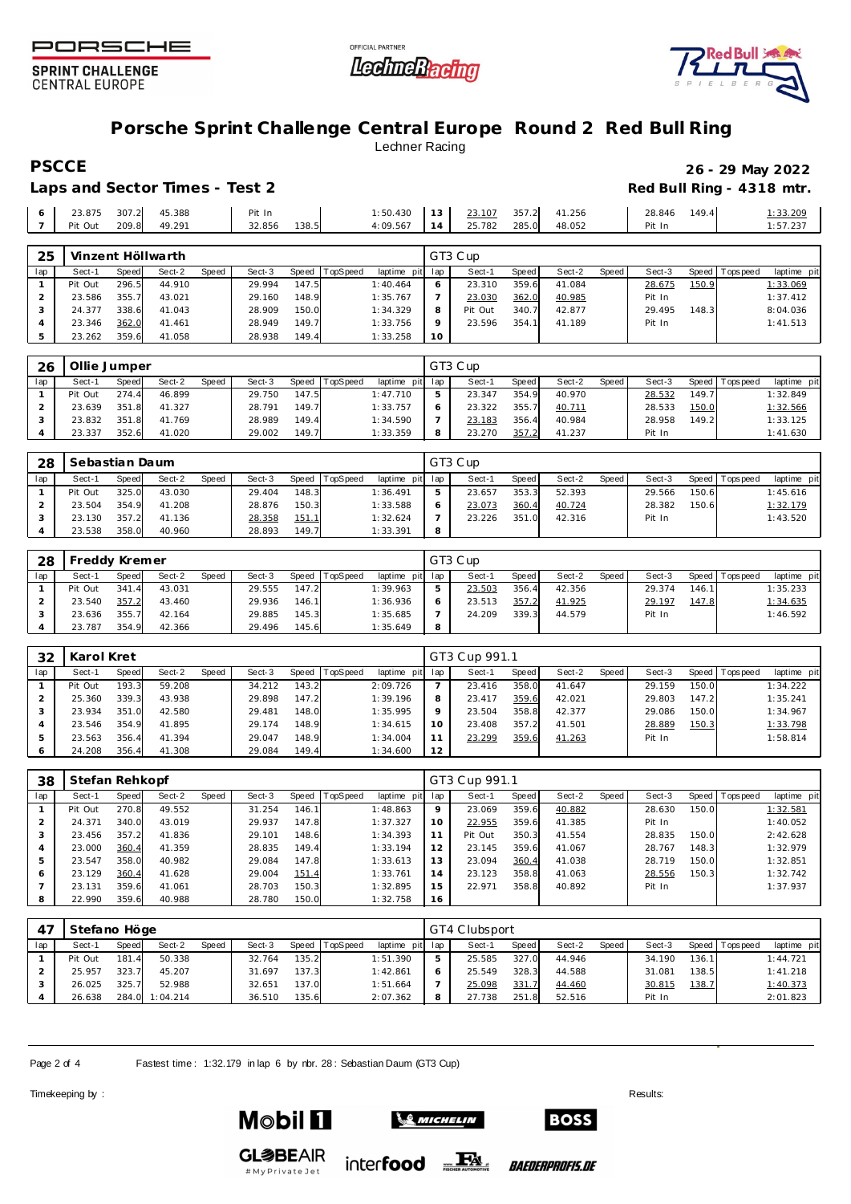





#### **Porsche Sprint Challenge Central Europe Round 2 Red Bull Ring** Lechner Racing

## **PSCCE 26 - 29 May 2022**

Laps and Sector Times - Test 2 **Red Bull Ring - 4318 mtr.** 

| 23.875  | 307.2 | 45.388 | Pit In |       | 1:50.430 | 13 | 23.107 | 357.2 | 41.256 | 28.846 | 149.4 | : 33.209 |
|---------|-------|--------|--------|-------|----------|----|--------|-------|--------|--------|-------|----------|
| Pit Out | 209.8 | 49.291 | 32.856 | 138.5 | 4:09.567 | 14 | 25.782 | 285.0 | 48.052 | Pit In |       | 1:57.237 |

| 25  |         |       | Vinzent Höllwarth |       |        |       |          |                 |         | GT3 Cup |       |        |       |        |       |                 |             |
|-----|---------|-------|-------------------|-------|--------|-------|----------|-----------------|---------|---------|-------|--------|-------|--------|-------|-----------------|-------------|
| lap | Sect-1  | Speed | Sect-2            | Speed | Sect-3 | Speed | TopSpeed | laptime pit lap |         | Sect-1  | Speed | Sect-2 | Speed | Sect-3 |       | Speed Tops peed | laptime pit |
|     | Pit Out | 296.5 | 44.910            |       | 29.994 | 147.5 |          | 1:40.464        |         | 23.310  | 359.6 | 41.084 |       | 28.675 | 150.9 |                 | 1:33.069    |
|     | 23.586  | 355.7 | 43.021            |       | 29.160 | 148.9 |          | 1:35.767        |         | 23.030  | 362.0 | 40.985 |       | Pit In |       |                 | 1:37.412    |
|     | 24.377  | 338.6 | 41.043            |       | 28.909 | 150.0 |          | 1:34.329        | 8       | Pit Out | 340.  | 42.877 |       | 29.495 | 148.3 |                 | 8:04.036    |
|     | 23.346  | 362.0 | 41.461            |       | 28.949 | 149.7 |          | 1:33.756        | $\circ$ | 23.596  | 354.  | 41.189 |       | Pit In |       |                 | 1:41.513    |
|     | 23.262  | 359.6 | 41.058            |       | 28.938 | 149.4 |          | 1:33.258        | 10      |         |       |        |       |        |       |                 |             |

| 26  | Ollie Jumper |       |        |       |        |       |          |          |         | GT3 Cup |       |        |       |        |       |                 |                |
|-----|--------------|-------|--------|-------|--------|-------|----------|----------|---------|---------|-------|--------|-------|--------|-------|-----------------|----------------|
| lap | Sect-1       | Speed | Sect-2 | Speed | Sect-3 | Speed | TopSpeed | laptime  | pit lap | Sect-1  | Speed | Sect-2 | Speed | Sect-3 |       | Speed Tops peed | laptime<br>pit |
|     | Pit Out      | 274.4 | 46.899 |       | 29.750 | 147.5 |          | 1:47.710 |         | 23.347  | 354.9 | 40.970 |       | 28.532 | 149.7 |                 | 1:32.849       |
|     | 23.639       | 351.8 | 41.327 |       | 28.791 | 149.7 |          | 1:33.757 |         | 23.322  | 355.  | 40.711 |       | 28.533 | 150.0 |                 | 1:32.566       |
|     | 23.832       | 351.8 | 41.769 |       | 28.989 | 149.4 |          | 1:34.590 |         | 23.183  | 356.4 | 40.984 |       | 28.958 | 149.2 |                 | 1:33.125       |
|     | 23.337       | 352.6 | 41.020 |       | 29.002 | 149.7 |          | 1:33.359 | 8       | 23.270  | 357.  | 41.237 |       | Pit In |       |                 | 1:41.630       |

| 28  | Sebastian Daum |       |        |       |        |       |          |                 |            | GT3 Cup |       |        |       |        |       |                   |             |
|-----|----------------|-------|--------|-------|--------|-------|----------|-----------------|------------|---------|-------|--------|-------|--------|-------|-------------------|-------------|
| lap | Sect-1         | Speed | Sect-2 | Speed | Sect-3 | Speed | TopSpeed | laptime pit lap |            | Sect-1  | Speed | Sect-2 | Speed | Sect-3 |       | Speed   Tops peed | laptime pit |
|     | Pit Out        | 325.0 | 43.030 |       | 29.404 | 148.3 |          | 1:36.491        | 5          | 23.657  | 353.3 | 52.393 |       | 29.566 | 150.6 |                   | 1:45.616    |
|     | 23.504         | 354.9 | 41.208 |       | 28.876 | 150.3 |          | 1:33.588        | $\epsilon$ | 23.073  | 360.4 | 40.724 |       | 28.382 | 150.6 |                   | 1:32.179    |
|     | 23.130         | 357.2 | 41.136 |       | 28.358 | 151.1 |          | 1:32.624        |            | 23.226  | 351.0 | 42.316 |       | Pit In |       |                   | 1:43.520    |
|     | 23.538         | 358.0 | 40.960 |       | 28.893 | 149.7 |          | 1:33.391        | 8          |         |       |        |       |        |       |                   |             |

| 28  | Freddy Kremer |       |        |       |        |       |          |                 |   | GT3 Cup |         |        |         |        |       |                 |             |
|-----|---------------|-------|--------|-------|--------|-------|----------|-----------------|---|---------|---------|--------|---------|--------|-------|-----------------|-------------|
| lap | Sect-1        | Speed | Sect-2 | Speed | Sect-3 | Speed | TopSpeed | laptime pit lap |   | Sect-1  | Speed I | Sect-2 | Speed I | Sect-3 |       | Speed Tops peed | laptime pit |
|     | Pit Out       | 341.4 | 43.031 |       | 29.555 | 147.2 |          | 1:39.963        |   | 23.503  | 356.4   | 42.356 |         | 29.374 | 146.1 |                 | 1:35.233    |
|     | 23.540        | 357.2 | 43.460 |       | 29.936 | 146.1 |          | 1:36.936        |   | 23.513  | 357.2   | 41.925 |         | 29.197 | 147.8 |                 | 1:34.635    |
|     | 23.636        | 355.7 | 42.164 |       | 29.885 | 145.3 |          | 1:35.685        |   | 24.209  | 339.3   | 44.579 |         | Pit In |       |                 | 1:46.592    |
|     | 23.787        | 354.9 | 42.366 |       | 29.496 | 145.6 |          | 1:35.649        | 8 |         |         |        |         |        |       |                 |             |

| 32  | Karol Kret |       |        |       |        |       |          |             |     | GT3 Cup 991.1 |       |        |       |        |         |            |             |
|-----|------------|-------|--------|-------|--------|-------|----------|-------------|-----|---------------|-------|--------|-------|--------|---------|------------|-------------|
| lap | Sect-1     | Speed | Sect-2 | Speed | Sect-3 | Speed | TopSpeed | laptime pit | lap | Sect-1        | Speed | Sect-2 | Speed | Sect-3 | Speed I | T ops peed | laptime pit |
|     | Pit Out    | 193.3 | 59.208 |       | 34.212 | 143.2 |          | 2:09.726    |     | 23.416        | 358.0 | 41.647 |       | 29.159 | 150.0   |            | 1:34.222    |
|     | 25.360     | 339.3 | 43.938 |       | 29.898 | 147.2 |          | 1:39.196    | 8   | 23.417        | 359.6 | 42.021 |       | 29.803 | 147.2   |            | 1:35.241    |
|     | 23.934     | 351.0 | 42.580 |       | 29.481 | 148.0 |          | 1:35.995    |     | 23.504        | 358.8 | 42.377 |       | 29.086 | 150.0   |            | 1:34.967    |
|     | 23.546     | 354.9 | 41.895 |       | 29.174 | 148.9 |          | 1:34.615    |     | 23.408        | 357.2 | 41.501 |       | 28.889 | 150.3   |            | 1:33.798    |
|     | 23.563     | 356.4 | 41.394 |       | 29.047 | 148.9 |          | 1:34.004    |     | 23.299        | 359.6 | 41.263 |       | Pit In |         |            | 1:58.814    |
|     | 24.208     | 356.4 | 41.308 |       | 29.084 | 149.4 |          | 1:34.600    | 12  |               |       |        |       |        |         |            |             |

| 38  | Stefan Rehkopf |       |        |       |        |           |                 |             |         | GT3 Cup 991.1 |       |        |       |        |       |                   |             |
|-----|----------------|-------|--------|-------|--------|-----------|-----------------|-------------|---------|---------------|-------|--------|-------|--------|-------|-------------------|-------------|
| lap | Sect-1         | Speed | Sect-2 | Speed | Sect-3 | Speed   T | <b>TopSpeed</b> | laptime pit | lap     | Sect-1        | Speed | Sect-2 | Speed | Sect-3 |       | Speed   Tops peed | laptime pit |
|     | Pit Out        | 270.8 | 49.552 |       | 31.254 | 146.1     |                 | 1:48.863    | $\circ$ | 23.069        | 359.6 | 40.882 |       | 28.630 | 150.0 |                   | 1:32.581    |
|     | 24.371         | 340.0 | 43.019 |       | 29.937 | 147.8     |                 | 1:37.327    | 10      | 22.955        | 359.6 | 41.385 |       | Pit In |       |                   | 1:40.052    |
| 3   | 23.456         | 357.2 | 41.836 |       | 29.101 | 148.6     |                 | 1:34.393    |         | Pit Out       | 350.3 | 41.554 |       | 28.835 | 150.0 |                   | 2:42.628    |
| 4   | 23.000         | 360.4 | 41.359 |       | 28.835 | 149.4     |                 | 1:33.194    | 12      | 23.145        | 359.6 | 41.067 |       | 28.767 | 148.3 |                   | 1:32.979    |
| 5   | 23.547         | 358.0 | 40.982 |       | 29.084 | 147.8     |                 | 1:33.613    | 3       | 23.094        | 360.4 | 41.038 |       | 28.719 | 150.0 |                   | 1:32.851    |
| 6   | 23.129         | 360.4 | 41.628 |       | 29.004 | 151.4     |                 | 1:33.761    | 14      | 23.123        | 358.8 | 41.063 |       | 28.556 | 150.3 |                   | 1:32.742    |
|     | 23.131         | 359.6 | 41.061 |       | 28.703 | 150.3     |                 | 1:32.895    | 15      | 22.971        | 358.8 | 40.892 |       | Pit In |       |                   | 1:37.937    |
| 8   | 22.990         | 359.6 | 40.988 |       | 28.780 | 150.0     |                 | 1:32.758    | 16      |               |       |        |       |        |       |                   |             |

|     | Stefano Höge |       |                |       |        |       |          |             |     | GT4 Clubsport |         |        |         |        |       |                 |             |
|-----|--------------|-------|----------------|-------|--------|-------|----------|-------------|-----|---------------|---------|--------|---------|--------|-------|-----------------|-------------|
| lap | Sect-1       | Speed | Sect-2         | Speed | Sect-3 | Speed | TopSpeed | laptime pit | lap | Sect-1        | Speed I | Sect-2 | Speed I | Sect-3 |       | Speed Tops peed | laptime pit |
|     | Pit Out      | 181.4 | 50.338         |       | 32.764 | 135.2 |          | 1:51.390    |     | 25.585        | 327.0   | 44.946 |         | 34.190 | 136.1 |                 | 1:44.721    |
|     | 25.957       | 323.7 | 45.207         |       | 31.697 | 137.3 |          | 1:42.861    |     | 25.549        | 328.3   | 44.588 |         | 31.081 | 138.5 |                 | 1:41.218    |
|     | 26.025       | 325.7 | 52.988         |       | 32.651 | 137.0 |          | 1:51.664    |     | 25.098        | 331.7   | 44.460 |         | 30.815 | 138.7 |                 | 1:40.373    |
|     | 26.638       |       | 284.0 1:04.214 |       | 36.510 | 135.6 |          | 2:07.362    |     | 27.738        | 251.8   | 52.516 |         | Pit In |       |                 | 2:01.823    |

Page 2 of 4 Fastest time: 1:32.179 in lap 6 by rbr. 28: Sebastian Daum (GT3 Cup)

Timekeeping by : Results: Results: Results: Results: Results: Results: Results: Results: Results: Results: Results: Results: Results: Results: Results: Results: Results: Results: Results: Results: Results: Results: Results

**Mobil 11** 



**GL参BEAIR** # My Private Jet

inter**food** FALL

*BAEDERPROFIS.DE* 

**BOSS**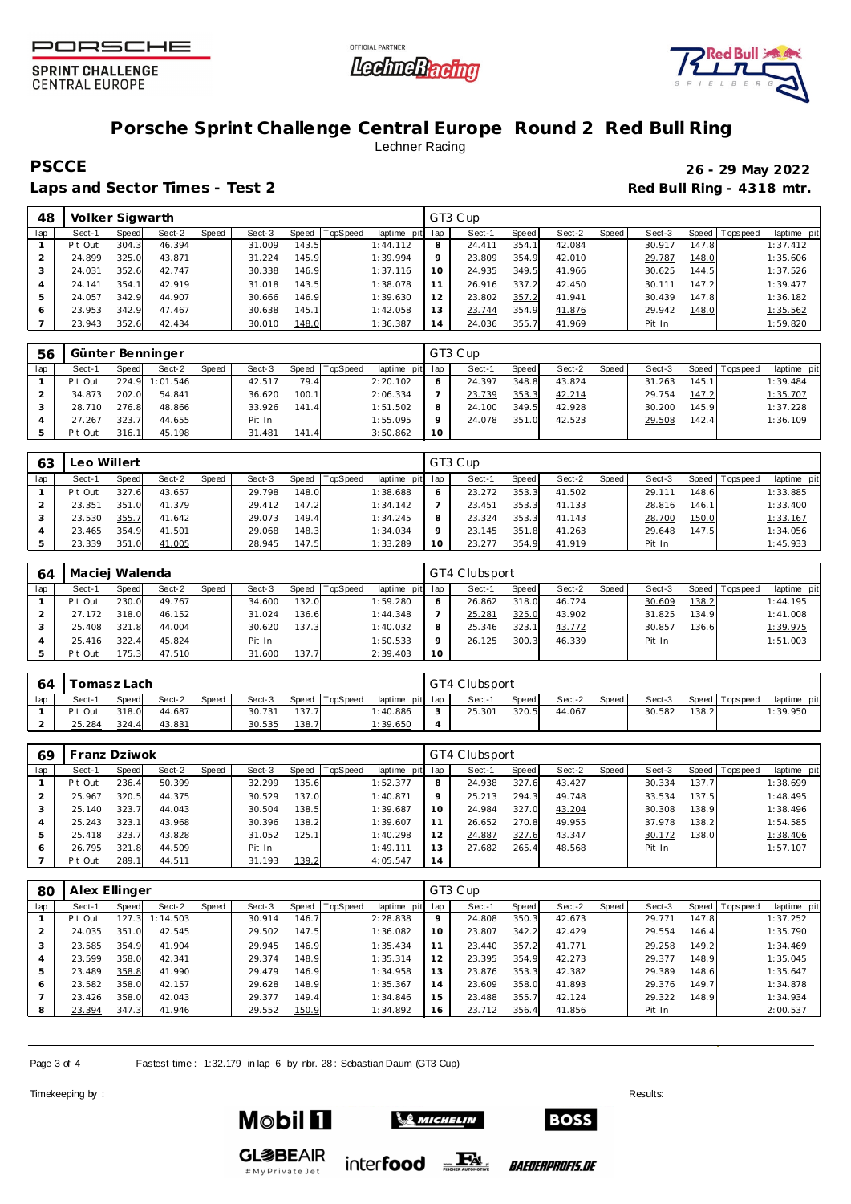





# **Porsche Sprint Challenge Central Europe Round 2 Red Bull Ring** Lechner Racing

**PSCCE 26 - 29 May 2022**

Laps and Sector Times - Test 2 **Red Bull Ring - 4318 mtr.** 

| 48  | Volker Sigwarth |       |        |       |        |       |          |             |          | GT3 Cup |       |        |       |        |       |                 |             |
|-----|-----------------|-------|--------|-------|--------|-------|----------|-------------|----------|---------|-------|--------|-------|--------|-------|-----------------|-------------|
| lap | Sect-1          | Speed | Sect-2 | Speed | Sect-3 | Speed | TopSpeed | laptime pit | lap      | Sect-1  | Speed | Sect-2 | Speed | Sect-3 |       | Speed Tops peed | laptime pit |
|     | Pit Out         | 304.3 | 46.394 |       | 31.009 | 143.5 |          | 1:44.112    | 8        | 24.411  | 354.  | 42.084 |       | 30.917 | 147.8 |                 | 1:37.412    |
|     | 24.899          | 325.0 | 43.871 |       | 31.224 | 145.9 |          | 1:39.994    | $\circ$  | 23.809  | 354.9 | 42.010 |       | 29.787 | 148.0 |                 | 1:35.606    |
|     | 24.031          | 352.6 | 42.747 |       | 30.338 | 146.9 |          | 1:37.116    | $10^{-}$ | 24.935  | 349.5 | 41.966 |       | 30.625 | 144.5 |                 | 1:37.526    |
|     | 24.141          | 354.1 | 42.919 |       | 31.018 | 143.5 |          | 1:38.078    |          | 26.916  | 337.2 | 42.450 |       | 30.111 | 147.2 |                 | 1:39.477    |
|     | 24.057          | 342.9 | 44.907 |       | 30.666 | 146.9 |          | 1:39.630    | 12       | 23.802  | 357.2 | 41.941 |       | 30.439 | 147.8 |                 | 1:36.182    |
|     | 23.953          | 342.9 | 47.467 |       | 30.638 | 145.1 |          | 1:42.058    | 13       | 23.744  | 354.9 | 41.876 |       | 29.942 | 148.0 |                 | 1:35.562    |
|     | 23.943          | 352.6 | 42.434 |       | 30.010 | 148.0 |          | 1:36.387    | 14       | 24.036  | 355.7 | 41.969 |       | Pit In |       |                 | 1:59.820    |

| 56  |         |       | Günter Benninger |       |        |       |          |                 |         | GT3 Cup |       |        |       |        |       |                 |             |
|-----|---------|-------|------------------|-------|--------|-------|----------|-----------------|---------|---------|-------|--------|-------|--------|-------|-----------------|-------------|
| lap | Sect-1  | Speed | Sect-2           | Speed | Sect-3 | Speed | TopSpeed | laptime pit lap |         | Sect-1  | Speed | Sect-2 | Speed | Sect-3 |       | Speed Tops peed | laptime pit |
|     | Pit Out |       | 224.9 1:01.546   |       | 42.517 | 79.4  |          | 2:20.102        |         | 24.397  | 348.8 | 43.824 |       | 31.263 | 145.1 |                 | 1:39.484    |
|     | 34.873  | 202.0 | 54.841           |       | 36.620 | 100.1 |          | 2:06.334        |         | 23.739  | 353.3 | 42.214 |       | 29.754 | 147.2 |                 | 1:35.707    |
|     | 28.710  | 276.8 | 48.866           |       | 33.926 | 141.4 |          | 1:51.502        | 8       | 24.100  | 349.5 | 42.928 |       | 30.200 | 145.9 |                 | 1:37.228    |
|     | 27.267  | 323.7 | 44.655           |       | Pit In |       |          | 1:55.095        | $\circ$ | 24.078  | 351.0 | 42.523 |       | 29.508 | 142.4 |                 | 1:36.109    |
|     | Pit Out | 316.1 | 45.198           |       | 31.481 | 141.4 |          | 3:50.862        | 10      |         |       |        |       |        |       |                 |             |

| 63  | Leo Willert |       |        |       |        |       |          |                 |           | GT3 Cup |       |        |       |        |       |                 |             |
|-----|-------------|-------|--------|-------|--------|-------|----------|-----------------|-----------|---------|-------|--------|-------|--------|-------|-----------------|-------------|
| lap | Sect-1      | Speed | Sect-2 | Speed | Sect-3 | Speed | TopSpeed | laptime pit lap |           | Sect-1  | Speed | Sect-2 | Speed | Sect-3 |       | Speed Tops peed | laptime pit |
|     | Pit Out     | 327.6 | 43.657 |       | 29.798 | 148.0 |          | 1:38.688        |           | 23.272  | 353.3 | 41.502 |       | 29.111 | 148.6 |                 | 1:33.885    |
|     | 23.351      | 351.0 | 41.379 |       | 29.412 | 147.2 |          | 1:34.142        |           | 23.451  | 353.3 | 41.133 |       | 28.816 | 146.1 |                 | 1:33.400    |
|     | 23.530      | 355.7 | 41.642 |       | 29.073 | 149.4 |          | 1:34.245        |           | 23.324  | 353.3 | 41.143 |       | 28.700 | 150.0 |                 | 1:33.167    |
|     | 23.465      | 354.9 | 41.501 |       | 29.068 | 148.3 |          | 1:34.034        |           | 23.145  | 351.8 | 41.263 |       | 29.648 | 147.5 |                 | 1:34.056    |
|     | 23.339      | 351.0 | 41.005 |       | 28.945 | 147.5 |          | 1:33.289        | <b>10</b> | 23.277  | 354.9 | 41.919 |       | Pit In |       |                 | 1:45.933    |

| 64  | Maciei Walenda |       |        |       |        |       |          |                 |         | GT4 Clubsport |              |        |       |        |         |            |             |
|-----|----------------|-------|--------|-------|--------|-------|----------|-----------------|---------|---------------|--------------|--------|-------|--------|---------|------------|-------------|
| lap | Sect-1         | Speed | Sect-2 | Speed | Sect-3 | Speed | TopSpeed | laptime pit lap |         | Sect-1        | <b>Speed</b> | Sect-2 | Speed | Sect-3 | Speed I | T ops peed | laptime pit |
|     | Pit Out        | 230.0 | 49.767 |       | 34.600 | 132.0 |          | 1:59.280        |         | 26.862        | 318.0        | 46.724 |       | 30.609 | 138.2   |            | 1:44.195    |
|     | 27.172         | 318.0 | 46.152 |       | 31.024 | 136.6 |          | 1:44.348        |         | <u>25.281</u> | 325.0        | 43.902 |       | 31.825 | 134.9   |            | 1:41.008    |
|     | 25.408         | 321.8 | 44.004 |       | 30.620 | 137.3 |          | 1:40.032        | 8       | 25.346        | 323.1        | 43.772 |       | 30.857 | 136.6   |            | 1:39.975    |
|     | 25.416         | 322.4 | 45.824 |       | Pit In |       |          | 1:50.533        | $\circ$ | 26.125        | 300.3        | 46.339 |       | Pit In |         |            | 1:51.003    |
|     | Pit Out        | 175.3 | 47.510 |       | 31.600 | 137.7 |          | 2:39.403        | 10      |               |              |        |       |        |         |            |             |

| 64  |         | Fomasz Lach |        |       |        |               |          |                 | GT4 Clubsport |       |        |         |        |       |                   |             |
|-----|---------|-------------|--------|-------|--------|---------------|----------|-----------------|---------------|-------|--------|---------|--------|-------|-------------------|-------------|
| lap | Sect-′  | Speed       | Sect-2 | Speed | Sect-3 | Speed         | TopSpeed | laptime pit lap | Sect-1        | Speed | Sect-2 | Speed I | Sect-3 |       | Speed   Tops peed | laptime pit |
|     | Pit Out | 318.0       | 44.687 |       | 30.731 | 137.7         |          | 1:40.886        | 25.30'        | 320.5 | 44.067 |         | 30.582 | 138.2 |                   | 1:39.950    |
|     | 25.284  | 324.        | 43.831 |       | 30.535 | <u> 138.7</u> |          | <u>1:39.650</u> |               |       |        |         |        |       |                   |             |

| 69  | Franz Dziwok |       |        |       |        |       |          |             |         | GT4 Clubsport |       |        |       |        |                    |                |             |
|-----|--------------|-------|--------|-------|--------|-------|----------|-------------|---------|---------------|-------|--------|-------|--------|--------------------|----------------|-------------|
| lap | Sect-1       | Speed | Sect-2 | Speed | Sect-3 | Speed | TopSpeed | laptime pit | lap     | Sect-1        | Speed | Sect-2 | Speed | Sect-3 |                    | Speed Topspeed | laptime pit |
|     | Pit Out      | 236.4 | 50.399 |       | 32.299 | 135.6 |          | 1:52.377    | 8       | 24.938        | 327.6 | 43.427 |       | 30.334 | 137.7 <sub>1</sub> |                | 1:38.699    |
|     | 25.967       | 320.5 | 44.375 |       | 30.529 | 137.0 |          | 1:40.871    | $\circ$ | 25.213        | 294.3 | 49.748 |       | 33.534 | 137.5              |                | 1:48.495    |
|     | 25.140       | 323.7 | 44.043 |       | 30.504 | 138.5 |          | 1:39.687    | 10      | 24.984        | 327.0 | 43.204 |       | 30.308 | 138.9              |                | 1:38.496    |
| 4   | 25.243       | 323.1 | 43.968 |       | 30.396 | 138.2 |          | 1:39.607    |         | 26.652        | 270.8 | 49.955 |       | 37.978 | 138.2              |                | 1:54.585    |
| 5   | 25.418       | 323.7 | 43.828 |       | 31.052 | 125.1 |          | 1:40.298    | 12      | 24.887        | 327.6 | 43.347 |       | 30.172 | 138.0              |                | 1:38.406    |
| O   | 26.795       | 321.8 | 44.509 |       | Pit In |       |          | 1:49.111    | 3       | 27.682        | 265.4 | 48.568 |       | Pit In |                    |                | 1:57.107    |
|     | Pit Out      | 289.1 | 44.511 |       | 31.193 | 139.2 |          | 4:05.547    | 14      |               |       |        |       |        |                    |                |             |

| 80  | Alex Ellinger |       |          |       |        |       |          |                |             | GT3 Cup |       |        |       |        |       |                   |             |
|-----|---------------|-------|----------|-------|--------|-------|----------|----------------|-------------|---------|-------|--------|-------|--------|-------|-------------------|-------------|
| lap | Sect-1        | Speed | Sect-2   | Speed | Sect-3 | Speed | TopSpeed | laptime<br>pit | lap         | Sect-1  | Speed | Sect-2 | Speed | Sect-3 |       | Speed   Tops peed | laptime pit |
|     | Pit Out       | 127.3 | 1:14.503 |       | 30.914 | 146.7 |          | 2:28.838       | $\mathsf Q$ | 24.808  | 350.3 | 42.673 |       | 29.771 | 147.8 |                   | 1:37.252    |
|     | 24.035        | 351.0 | 42.545   |       | 29.502 | 147.5 |          | 1:36.082       | 10          | 23.807  | 342.2 | 42.429 |       | 29.554 | 146.4 |                   | 1:35.790    |
|     | 23.585        | 354.9 | 41.904   |       | 29.945 | 146.9 |          | 1:35.434       |             | 23.440  | 357.2 | 41.771 |       | 29.258 | 149.2 |                   | 1:34.469    |
|     | 23.599        | 358.0 | 42.341   |       | 29.374 | 148.9 |          | 1:35.314       | 12          | 23.395  | 354.9 | 42.273 |       | 29.377 | 148.9 |                   | 1:35.045    |
| 5   | 23.489        | 358.8 | 41.990   |       | 29.479 | 146.9 |          | 1:34.958       | 13          | 23.876  | 353.3 | 42.382 |       | 29.389 | 148.6 |                   | 1:35.647    |
| 6   | 23.582        | 358.0 | 42.157   |       | 29.628 | 148.9 |          | 1:35.367       | 14          | 23.609  | 358.0 | 41.893 |       | 29.376 | 149.7 |                   | 1:34.878    |
|     | 23.426        | 358.0 | 42.043   |       | 29.377 | 149.4 |          | 1:34.846       | 15          | 23.488  | 355.7 | 42.124 |       | 29.322 | 148.9 |                   | 1:34.934    |
| 8   | 23.394        | 347.3 | 41.946   |       | 29.552 | 150.9 |          | 1:34.892       | 16          | 23.712  | 356.4 | 41.856 |       | Pit In |       |                   | 2:00.537    |

Page 3 of 4 Fastest time: 1:32.179 in lap 6 by rbr. 28: Sebastian Daum (GT3 Cup)

Timekeeping by : Results: Results: Results: Results: Results: Results: Results: Results: Results: Results: Results: Results: Results: Results: Results: Results: Results: Results: Results: Results: Results: Results: Results



**GL参BEAIR** 

# My Private Jet



inter**food** FALL

*BAEDERPROFIS.DE* 

**BOSS**